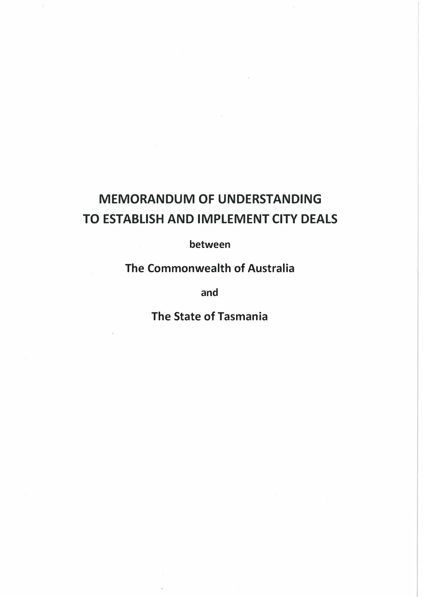# **MEMORANDUM OF UNDERSTANDING TO ESTABLISH AND IMPLEMENT CITY DEALS**

**between** 

**The Commonwealth of Australia** 

and

**The State of Tasmania**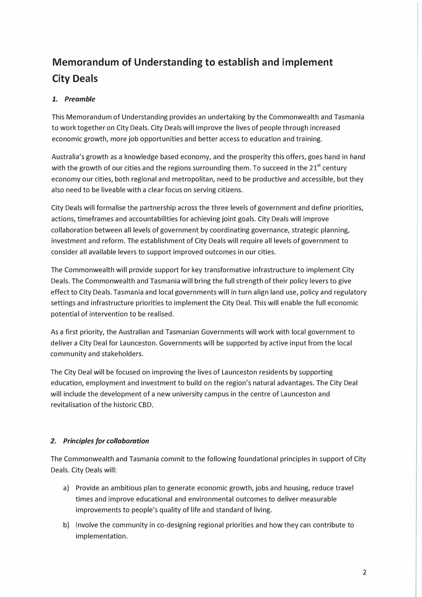# **Memorandum of Understanding to establish and implement City Deals**

## *1. Preamble*

This Memorandum of Understanding provides an undertaking by the Commonwealth and Tasmania to work together on City Deals. City Deals will improve the lives of people through increased economic growth, more job opportunities and better access to education and training.

Australia's growth as a knowledge based economy, and the prosperity this offers, goes hand in hand with the growth of our cities and the regions surrounding them. To succeed in the  $21^{st}$  century economy our cities, both regional and metropolitan, need to be productive and accessible, but they also need to be liveable with a clear focus on serving citizens.

City Deals will formalise the partnership across the three levels of government and define priorities, actions, timeframes and accountabilities for achieving joint goals. City Deals will improve collaboration between all levels of government by coordinating governance, strategic planning, investment and reform. The establishment of City Deals will require all levels of government to consider all available levers to support improved outcomes in our cities.

The Commonwealth will provide support for key transformative infrastructure to implement City Deals. The Commonwealth and Tasmania will bring the full strength of their policy levers to give effect to City Deals. Tasmania and local governments will in turn align land use, policy and regulatory settings and infrastructure priorities to implement the City Deal. This will enable the full economic potential of intervention to be realised.

As a first priority, the Australian and Tasmanian Governments will work with local government to deliver a City Deal for Launceston. Governments will be supported by active input from the local community and stakeholders.

The City Deal will be focused on improving the lives of Launceston residents by supporting education, employment and investment to build on the region's natural advantages. The City Deal will include the development of a new university campus in the centre of Launceston and revitalisation of the historic CBD.

### *2. Principles for collaboration*

The Commonwealth and Tasmania commit to the following foundational principles in support of City Deals. City Deals will:

- a) Provide an ambitious plan to generate economic growth, jobs and housing, reduce travel times and improve educational and environmental outcomes to deliver measurable improvements to people's quality of life and standard of living.
- b) Involve the community in co-designing regional priorities and how they can contribute to implementation.

2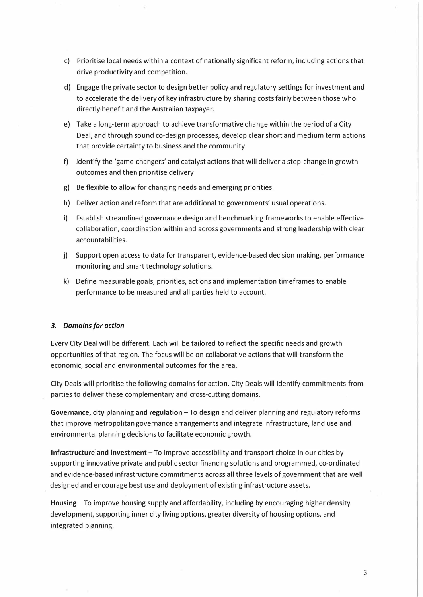- c) Prioritise local needs within a context of nationally significant reform, including actions that drive productivity and competition.
- d) Engage the private sector to design better policy and regulatory settings for investment and to accelerate the delivery of key infrastructure by sharing costs fairly between those who directly benefit and the Australian taxpayer.
- e) Take a long-term approach to achieve transformative change within the period of a City Deal, and through sound co-design processes, develop clear short and medium term actions that provide certainty to business and the community.
- f) Identify the 'game-changers' and catalyst actions that will deliver a step-change in growth outcomes and then prioritise delivery
- g) Be flexible to allow for changing needs and emerging priorities.
- h) Deliver action and reform that are additional to governments' usual operations.
- i) Establish streamlined governance design and benchmarking frameworks to enable effective collaboration, coordination within and across governments and strong leadership with clear accountabilities.
- j) Support open access to data for transparent, evidence-based decision making, performance monitoring and smart technology solutions.
- k) Define measurable goals, priorities, actions and implementation timeframes to enable performance to be measured and all parties held to account.

#### *3. Domains for action*

Every City Deal will be different. Each will be tailored to reflect the specific needs and growth opportunities of that region. The focus will be on collaborative actions that will transform the economic, social and environmental outcomes for the area.

City Deals will prioritise the following domains for action. City Deals will identify commitments from parties to deliver these complementary and cross-cutting domains.

Governance, city planning and regulation - To design and deliver planning and regulatory reforms that improve metropolitan governance arrangements and integrate infrastructure, land use and environmental planning decisions to facilitate economic growth.

**Infrastructure and investment** - To improve accessibility and transport choice in our cities by supporting innovative private and public sector financing solutions and programmed, co-ordinated and evidence-based infrastructure commitments across all three levels of government that are well designed and encourage best use and deployment of existing infrastructure assets.

**Housing** - To improve housing supply and affordability, including by encouraging higher density development, supporting inner city living options, greater diversity of housing options, and integrated planning.